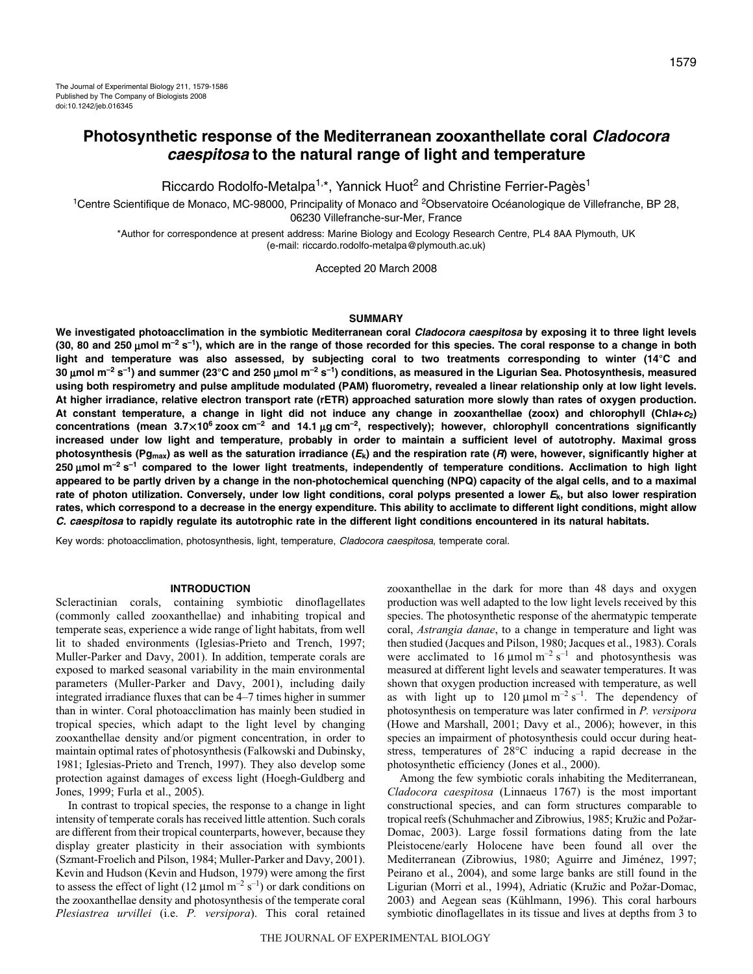Riccardo Rodolfo-Metalpa<sup>1,\*</sup>, Yannick Huot<sup>2</sup> and Christine Ferrier-Pagès<sup>1</sup>

<sup>1</sup>Centre Scientifique de Monaco, MC-98000, Principality of Monaco and <sup>2</sup>Observatoire Océanologique de Villefranche, BP 28, 06230 Villefranche-sur-Mer, France

\*Author for correspondence at present address: Marine Biology and Ecology Research Centre, PL4 8AA Plymouth, UK (e-mail: riccardo.rodolfo-metalpa@plymouth.ac.uk)

Accepted 20 March 2008

### **SUMMARY**

**We investigated photoacclimation in the symbiotic Mediterranean coral Cladocora caespitosa by exposing it to three light levels (30, 80 and 250·**μ**mol·m–2·s–1), which are in the range of those recorded for this species. The coral response to a change in both light and temperature was also assessed, by subjecting coral to two treatments corresponding to winter (14°C and 30·**μ**mol·m–2·s–1) and summer (23°C and 250·**μ**mol·m–2·s–1) conditions, as measured in the Ligurian Sea. Photosynthesis, measured using both respirometry and pulse amplitude modulated (PAM) fluorometry, revealed a linear relationship only at low light levels. At higher irradiance, relative electron transport rate (rETR) approached saturation more slowly than rates of oxygen production. At constant temperature, a change in light did not induce any change in zooxanthellae (zoox) and chlorophyll (Chla+c2) concentrations (mean 3.7**-**106·zoox·cm–2 and 14.1·**μ**g·cm–2, respectively); however, chlorophyll concentrations significantly increased under low light and temperature, probably in order to maintain a sufficient level of autotrophy. Maximal gross photosynthesis (Pgmax) as well as the saturation irradiance (Ek) and the respiration rate (R) were, however, significantly higher at 250·**μ**mol·m–2·s–1 compared to the lower light treatments, independently of temperature conditions. Acclimation to high light appeared to be partly driven by a change in the non-photochemical quenching (NPQ) capacity of the algal cells, and to a maximal rate of photon utilization. Conversely, under low light conditions, coral polyps presented a lower Ek, but also lower respiration rates, which correspond to a decrease in the energy expenditure. This ability to acclimate to different light conditions, might allow C. caespitosa to rapidly regulate its autotrophic rate in the different light conditions encountered in its natural habitats.**

Key words: photoacclimation, photosynthesis, light, temperature, Cladocora caespitosa, temperate coral.

### **INTRODUCTION**

Scleractinian corals, containing symbiotic dinoflagellates (commonly called zooxanthellae) and inhabiting tropical and temperate seas, experience a wide range of light habitats, from well lit to shaded environments (Iglesias-Prieto and Trench, 1997; Muller-Parker and Davy, 2001). In addition, temperate corals are exposed to marked seasonal variability in the main environmental parameters (Muller-Parker and Davy, 2001), including daily integrated irradiance fluxes that can be 4–7 times higher in summer than in winter. Coral photoacclimation has mainly been studied in tropical species, which adapt to the light level by changing zooxanthellae density and/or pigment concentration, in order to maintain optimal rates of photosynthesis (Falkowski and Dubinsky, 1981; Iglesias-Prieto and Trench, 1997). They also develop some protection against damages of excess light (Hoegh-Guldberg and Jones, 1999; Furla et al., 2005).

In contrast to tropical species, the response to a change in light intensity of temperate corals has received little attention. Such corals are different from their tropical counterparts, however, because they display greater plasticity in their association with symbionts (Szmant-Froelich and Pilson, 1984; Muller-Parker and Davy, 2001). Kevin and Hudson (Kevin and Hudson, 1979) were among the first to assess the effect of light (12  $\mu$ mol m<sup>-2</sup> s<sup>-1</sup>) or dark conditions on the zooxanthellae density and photosynthesis of the temperate coral *Plesiastrea urvillei* (i.e. *P. versipora*). This coral retained

zooxanthellae in the dark for more than 48 days and oxygen production was well adapted to the low light levels received by this species. The photosynthetic response of the ahermatypic temperate coral, *Astrangia danae*, to a change in temperature and light was then studied (Jacques and Pilson, 1980; Jacques et al., 1983). Corals were acclimated to  $16 \mu \text{mol m}^{-2} \text{s}^{-1}$  and photosynthesis was measured at different light levels and seawater temperatures. It was shown that oxygen production increased with temperature, as well as with light up to  $120 \mu$ mol m<sup>-2</sup> s<sup>-1</sup>. The dependency of photosynthesis on temperature was later confirmed in *P. versipora* (Howe and Marshall, 2001; Davy et al., 2006); however, in this species an impairment of photosynthesis could occur during heatstress, temperatures of 28°C inducing a rapid decrease in the photosynthetic efficiency (Jones et al., 2000).

Among the few symbiotic corals inhabiting the Mediterranean, *Cladocora caespitosa* (Linnaeus 1767) is the most important constructional species, and can form structures comparable to tropical reefs (Schuhmacher and Zibrowius, 1985; Kruzic and Pozar-Domac, 2003). Large fossil formations dating from the late Pleistocene/early Holocene have been found all over the Mediterranean (Zibrowius, 1980; Aguirre and Jiménez, 1997; Peirano et al., 2004), and some large banks are still found in the Ligurian (Morri et al., 1994), Adriatic (Kruzic and Pozar-Domac, 2003) and Aegean seas (Kühlmann, 1996). This coral harbours symbiotic dinoflagellates in its tissue and lives at depths from 3 to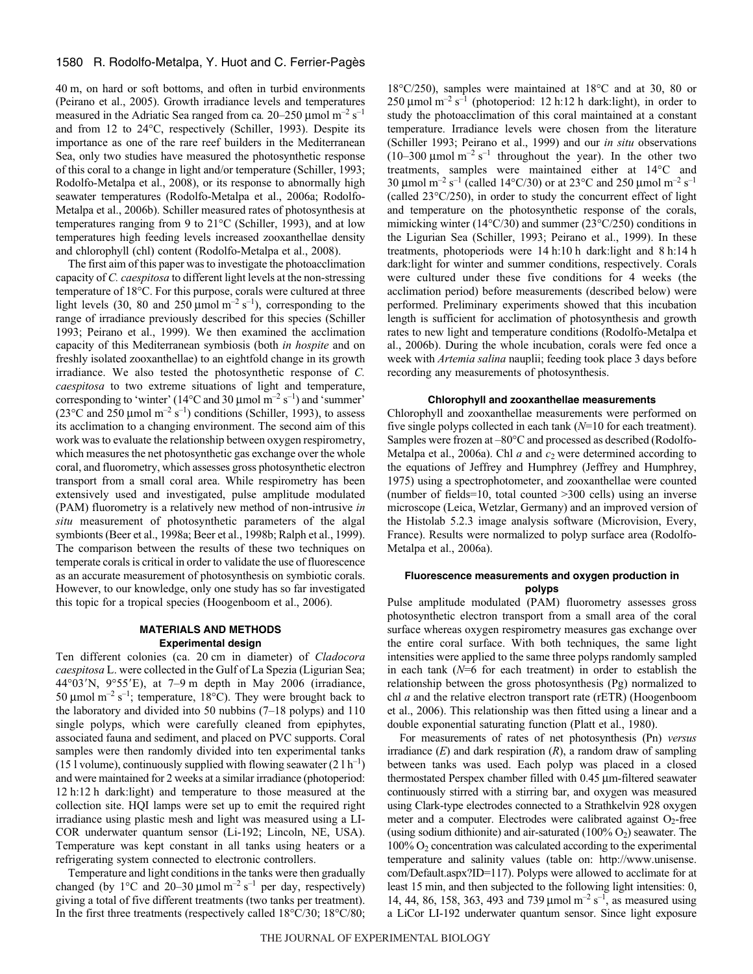40 m, on hard or soft bottoms, and often in turbid environments (Peirano et al., 2005). Growth irradiance levels and temperatures measured in the Adriatic Sea ranged from ca.  $20-250 \mu$ mol m<sup>-2</sup> s<sup>-1</sup> and from 12 to 24°C, respectively (Schiller, 1993). Despite its importance as one of the rare reef builders in the Mediterranean Sea, only two studies have measured the photosynthetic response of this coral to a change in light and/or temperature (Schiller, 1993; Rodolfo-Metalpa et al., 2008), or its response to abnormally high seawater temperatures (Rodolfo-Metalpa et al., 2006a; Rodolfo-Metalpa et al., 2006b). Schiller measured rates of photosynthesis at temperatures ranging from 9 to 21°C (Schiller, 1993), and at low temperatures high feeding levels increased zooxanthellae density and chlorophyll (chl) content (Rodolfo-Metalpa et al., 2008).

The first aim of this paper was to investigate the photoacclimation capacity of *C. caespitosa* to different light levels at the non-stressing temperature of 18°C. For this purpose, corals were cultured at three light levels (30, 80 and 250  $\mu$ mol m<sup>-2</sup> s<sup>-1</sup>), corresponding to the range of irradiance previously described for this species (Schiller 1993; Peirano et al., 1999). We then examined the acclimation capacity of this Mediterranean symbiosis (both *in hospite* and on freshly isolated zooxanthellae) to an eightfold change in its growth irradiance. We also tested the photosynthetic response of *C. caespitosa* to two extreme situations of light and temperature, corresponding to 'winter' (14 °C and 30 µmol  $m^{-2}$  s<sup>-1</sup>) and 'summer' (23 $^{\circ}$ C and 250 µmol m<sup>-2</sup> s<sup>-1</sup>) conditions (Schiller, 1993), to assess its acclimation to a changing environment. The second aim of this work was to evaluate the relationship between oxygen respirometry, which measures the net photosynthetic gas exchange over the whole coral, and fluorometry, which assesses gross photosynthetic electron transport from a small coral area. While respirometry has been extensively used and investigated, pulse amplitude modulated (PAM) fluorometry is a relatively new method of non-intrusive *in situ* measurement of photosynthetic parameters of the algal symbionts (Beer et al., 1998a; Beer et al., 1998b; Ralph et al., 1999). The comparison between the results of these two techniques on temperate corals is critical in order to validate the use of fluorescence as an accurate measurement of photosynthesis on symbiotic corals. However, to our knowledge, only one study has so far investigated this topic for a tropical species (Hoogenboom et al., 2006).

# **MATERIALS AND METHODS Experimental design**

Ten different colonies (ca. 20 cm in diameter) of *Cladocora caespitosa* L. were collected in the Gulf of La Spezia (Ligurian Sea; 44°03'N, 9°55'E), at 7-9 m depth in May 2006 (irradiance, 50 µmol  $m^{-2}$  s<sup>-1</sup>; temperature, 18°C). They were brought back to the laboratory and divided into 50 nubbins (7–18 polyps) and 110 single polyps, which were carefully cleaned from epiphytes, associated fauna and sediment, and placed on PVC supports. Coral samples were then randomly divided into ten experimental tanks (15 l volume), continuously supplied with flowing seawater (2 l  $h^{-1}$ ) and were maintained for 2 weeks at a similar irradiance (photoperiod: 12 h:12 h dark:light) and temperature to those measured at the collection site. HQI lamps were set up to emit the required right irradiance using plastic mesh and light was measured using a LI-COR underwater quantum sensor (Li-192; Lincoln, NE, USA). Temperature was kept constant in all tanks using heaters or a refrigerating system connected to electronic controllers.

Temperature and light conditions in the tanks were then gradually changed (by 1 $\degree$ C and 20–30 µmol m<sup>-2</sup> s<sup>-1</sup> per day, respectively) giving a total of five different treatments (two tanks per treatment). In the first three treatments (respectively called 18°C/30; 18°C/80;

18°C/250), samples were maintained at 18°C and at 30, 80 or 250  $\mu$ mol m<sup>-2</sup> s<sup>-1</sup> (photoperiod: 12 h:12 h dark:light), in order to study the photoacclimation of this coral maintained at a constant temperature. Irradiance levels were chosen from the literature (Schiller 1993; Peirano et al., 1999) and our *in situ* observations (10–300  $\mu$ mol m<sup>-2</sup> s<sup>-1</sup> throughout the year). In the other two treatments, samples were maintained either at 14°C and 30 µmol m<sup>-2</sup> s<sup>-1</sup> (called 14°C/30) or at 23°C and 250 µmol m<sup>-2</sup> s<sup>-1</sup> (called 23°C/250), in order to study the concurrent effect of light and temperature on the photosynthetic response of the corals, mimicking winter (14°C/30) and summer (23°C/250) conditions in the Ligurian Sea (Schiller, 1993; Peirano et al., 1999). In these treatments, photoperiods were 14 h:10 h dark:light and 8 h:14 h dark:light for winter and summer conditions, respectively. Corals were cultured under these five conditions for 4 weeks (the acclimation period) before measurements (described below) were performed. Preliminary experiments showed that this incubation length is sufficient for acclimation of photosynthesis and growth rates to new light and temperature conditions (Rodolfo-Metalpa et al., 2006b). During the whole incubation, corals were fed once a week with *Artemia salina* nauplii; feeding took place 3 days before recording any measurements of photosynthesis.

### **Chlorophyll and zooxanthellae measurements**

Chlorophyll and zooxanthellae measurements were performed on five single polyps collected in each tank (*N*=10 for each treatment). Samples were frozen at –80°C and processed as described (Rodolfo-Metalpa et al., 2006a). Chl  $a$  and  $c_2$  were determined according to the equations of Jeffrey and Humphrey (Jeffrey and Humphrey, 1975) using a spectrophotometer, and zooxanthellae were counted (number of fields=10, total counted >300 cells) using an inverse microscope (Leica, Wetzlar, Germany) and an improved version of the Histolab 5.2.3 image analysis software (Microvision, Every, France). Results were normalized to polyp surface area (Rodolfo-Metalpa et al., 2006a).

### **Fluorescence measurements and oxygen production in polyps**

Pulse amplitude modulated (PAM) fluorometry assesses gross photosynthetic electron transport from a small area of the coral surface whereas oxygen respirometry measures gas exchange over the entire coral surface. With both techniques, the same light intensities were applied to the same three polyps randomly sampled in each tank (*N*=6 for each treatment) in order to establish the relationship between the gross photosynthesis (Pg) normalized to chl *a* and the relative electron transport rate (rETR) (Hoogenboom et al., 2006). This relationship was then fitted using a linear and a double exponential saturating function (Platt et al., 1980).

For measurements of rates of net photosynthesis (Pn) *versus* irradiance (*E*) and dark respiration (*R*), a random draw of sampling between tanks was used. Each polyp was placed in a closed thermostated Perspex chamber filled with 0.45 μm-filtered seawater continuously stirred with a stirring bar, and oxygen was measured using Clark-type electrodes connected to a Strathkelvin 928 oxygen meter and a computer. Electrodes were calibrated against  $O_2$ -free (using sodium dithionite) and air-saturated  $(100\% O<sub>2</sub>)$  seawater. The 100% O2 concentration was calculated according to the experimental temperature and salinity values (table on: http://www.unisense. com/Default.aspx?ID=117). Polyps were allowed to acclimate for at least 15 min, and then subjected to the following light intensities: 0, 14, 44, 86, 158, 363, 493 and 739  $\mu$ mol m<sup>-2</sup> s<sup>-1</sup>, as measured using a LiCor LI-192 underwater quantum sensor. Since light exposure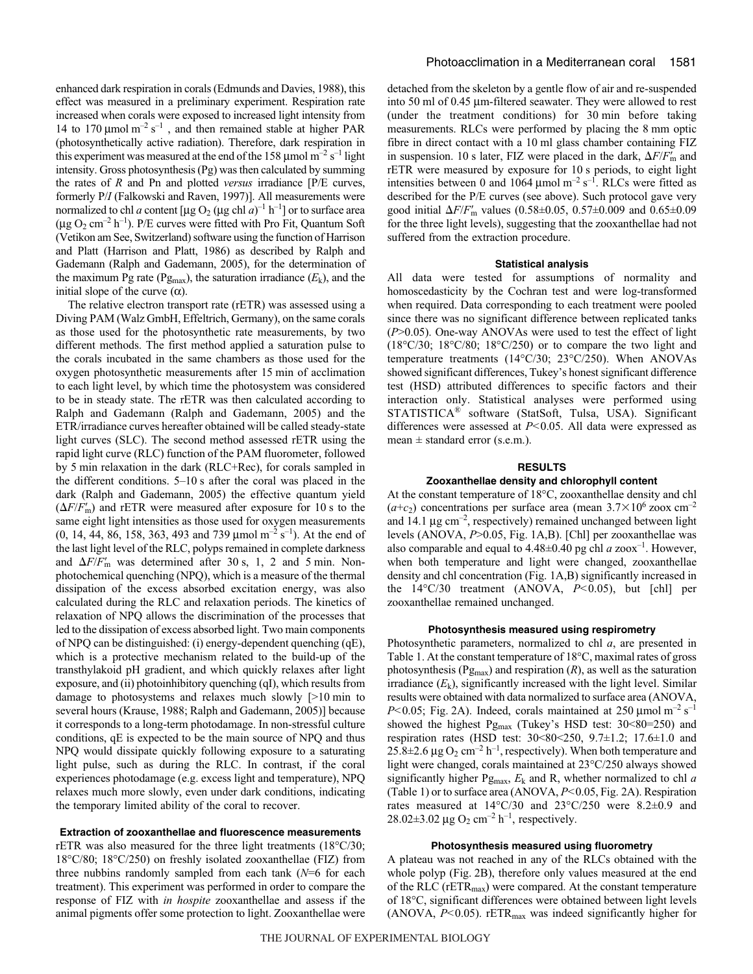enhanced dark respiration in corals (Edmunds and Davies, 1988), this effect was measured in a preliminary experiment. Respiration rate increased when corals were exposed to increased light intensity from 14 to 170  $\mu$ mol m<sup>-2</sup> s<sup>-1</sup>, and then remained stable at higher PAR (photosynthetically active radiation). Therefore, dark respiration in this experiment was measured at the end of the 158  $\mu$ mol m<sup>-2</sup> s<sup>-1</sup> light intensity. Gross photosynthesis (Pg) was then calculated by summing the rates of *R* and Pn and plotted *versus* irradiance [P/E curves, formerly P/*I* (Falkowski and Raven, 1997)]. All measurements were normalized to chl *a* content [µg O<sub>2</sub> (µg chl  $a$ )<sup>-1</sup> h<sup>-1</sup>] or to surface area  $(\mu g O_2 \text{ cm}^{-2} \text{ h}^{-1})$ . P/E curves were fitted with Pro Fit, Quantum Soft (Vetikon am See, Switzerland) software using the function of Harrison and Platt (Harrison and Platt, 1986) as described by Ralph and Gademann (Ralph and Gademann, 2005), for the determination of the maximum Pg rate (Pg<sub>max</sub>), the saturation irradiance  $(E_k)$ , and the initial slope of the curve  $(α)$ .

The relative electron transport rate (rETR) was assessed using a Diving PAM (Walz GmbH, Effeltrich, Germany), on the same corals as those used for the photosynthetic rate measurements, by two different methods. The first method applied a saturation pulse to the corals incubated in the same chambers as those used for the oxygen photosynthetic measurements after 15 min of acclimation to each light level, by which time the photosystem was considered to be in steady state. The rETR was then calculated according to Ralph and Gademann (Ralph and Gademann, 2005) and the ETR/irradiance curves hereafter obtained will be called steady-state light curves (SLC). The second method assessed rETR using the rapid light curve (RLC) function of the PAM fluorometer, followed by 5 min relaxation in the dark (RLC+Rec), for corals sampled in the different conditions.  $5-10$  s after the coral was placed in the dark (Ralph and Gademann, 2005) the effective quantum yield  $(\Delta F/F_{\text{m}})$  and rETR were measured after exposure for 10 s to the same eight light intensities as those used for oxygen measurements (0, 14, 44, 86, 158, 363, 493 and 739  $\mu$ mol m<sup>-2</sup> s<sup>-1</sup>). At the end of the last light level of the RLC, polyps remained in complete darkness and  $\Delta F/F'_{\text{m}}$  was determined after 30 s, 1, 2 and 5 min. Nonphotochemical quenching (NPQ), which is a measure of the thermal dissipation of the excess absorbed excitation energy, was also calculated during the RLC and relaxation periods. The kinetics of relaxation of NPQ allows the discrimination of the processes that led to the dissipation of excess absorbed light. Two main components of NPQ can be distinguished: (i) energy-dependent quenching (qE), which is a protective mechanism related to the build-up of the transthylakoid pH gradient, and which quickly relaxes after light exposure, and (ii) photoinhibitory quenching (qI), which results from damage to photosystems and relaxes much slowly  $[>10$  min to several hours (Krause, 1988; Ralph and Gademann, 2005)] because it corresponds to a long-term photodamage. In non-stressful culture conditions, qE is expected to be the main source of NPQ and thus NPQ would dissipate quickly following exposure to a saturating light pulse, such as during the RLC. In contrast, if the coral experiences photodamage (e.g. excess light and temperature), NPQ relaxes much more slowly, even under dark conditions, indicating the temporary limited ability of the coral to recover.

### **Extraction of zooxanthellae and fluorescence measurements**

rETR was also measured for the three light treatments (18°C/30; 18°C/80; 18°C/250) on freshly isolated zooxanthellae (FIZ) from three nubbins randomly sampled from each tank (*N*=6 for each treatment). This experiment was performed in order to compare the response of FIZ with *in hospite* zooxanthellae and assess if the animal pigments offer some protection to light. Zooxanthellae were detached from the skeleton by a gentle flow of air and re-suspended into 50 ml of 0.45 μm-filtered seawater. They were allowed to rest (under the treatment conditions) for 30 min before taking measurements. RLCs were performed by placing the 8 mm optic fibre in direct contact with a 10 ml glass chamber containing FIZ in suspension. 10 s later, FIZ were placed in the dark,  $\Delta F/F'_{\text{m}}$  and rETR were measured by exposure for 10 s periods, to eight light intensities between 0 and 1064  $\mu$ mol m<sup>-2</sup> s<sup>-1</sup>. RLCs were fitted as described for the P/E curves (see above). Such protocol gave very good initial *F*/*F* <sup>m</sup> values (0.58±0.05, 0.57±0.009 and 0.65±0.09 for the three light levels), suggesting that the zooxanthellae had not suffered from the extraction procedure.

#### **Statistical analysis**

All data were tested for assumptions of normality and homoscedasticity by the Cochran test and were log-transformed when required. Data corresponding to each treatment were pooled since there was no significant difference between replicated tanks (*P*>0.05). One-way ANOVAs were used to test the effect of light (18°C/30; 18°C/80; 18°C/250) or to compare the two light and temperature treatments (14°C/30; 23°C/250). When ANOVAs showed significant differences, Tukey's honest significant difference test (HSD) attributed differences to specific factors and their interaction only. Statistical analyses were performed using STATISTICA® software (StatSoft, Tulsa, USA). Significant differences were assessed at *P<*0.05. All data were expressed as mean  $\pm$  standard error (s.e.m.).

### **RESULTS**

### **Zooxanthellae density and chlorophyll content**

At the constant temperature of 18°C, zooxanthellae density and chl  $(a+c_2)$  concentrations per surface area (mean  $3.7 \times 10^6$  zoox cm<sup>-2</sup> and 14.1  $\mu$ g cm<sup>-2</sup>, respectively) remained unchanged between light levels (ANOVA, *P*>0.05, Fig. 1A,B). [Chl] per zooxanthellae was also comparable and equal to  $4.48\pm0.40$  pg chl *a* zoox<sup>-1</sup>. However, when both temperature and light were changed, zooxanthellae density and chl concentration (Fig. 1A,B) significantly increased in the 14°C/30 treatment (ANOVA, *P<*0.05), but [chl] per zooxanthellae remained unchanged.

### **Photosynthesis measured using respirometry**

Photosynthetic parameters, normalized to chl *a*, are presented in Table 1. At the constant temperature of 18°C, maximal rates of gross photosynthesis ( $Pg_{\text{max}}$ ) and respiration ( $R$ ), as well as the saturation irradiance  $(E_k)$ , significantly increased with the light level. Similar results were obtained with data normalized to surface area (ANOVA, *P*<0.05; Fig. 2A). Indeed, corals maintained at  $250 \mu$ mol m<sup>-2</sup> s<sup>-1</sup> showed the highest Pg<sub>max</sub> (Tukey's HSD test: 30<80=250) and respiration rates (HSD test: 30<80<250, 9.7±1.2; 17.6±1.0 and  $25.8\pm2.6~\mu$ g O<sub>2</sub> cm<sup>-2</sup> h<sup>-1</sup>, respectively). When both temperature and light were changed, corals maintained at 23°C/250 always showed significantly higher  $Pg_{\text{max}}$ ,  $E_k$  and R, whether normalized to chl *a* (Table 1) or to surface area (ANOVA,  $P$ <0.05, Fig. 2A). Respiration rates measured at 14°C/30 and 23°C/250 were 8.2±0.9 and 28.02 $\pm$ 3.02 µg O<sub>2</sub> cm<sup>-2</sup> h<sup>-1</sup>, respectively.

### **Photosynthesis measured using fluorometry**

A plateau was not reached in any of the RLCs obtained with the whole polyp (Fig. 2B), therefore only values measured at the end of the RLC (rETR<sub>max</sub>) were compared. At the constant temperature of 18°C, significant differences were obtained between light levels (ANOVA,  $P<0.05$ ). rETR<sub>max</sub> was indeed significantly higher for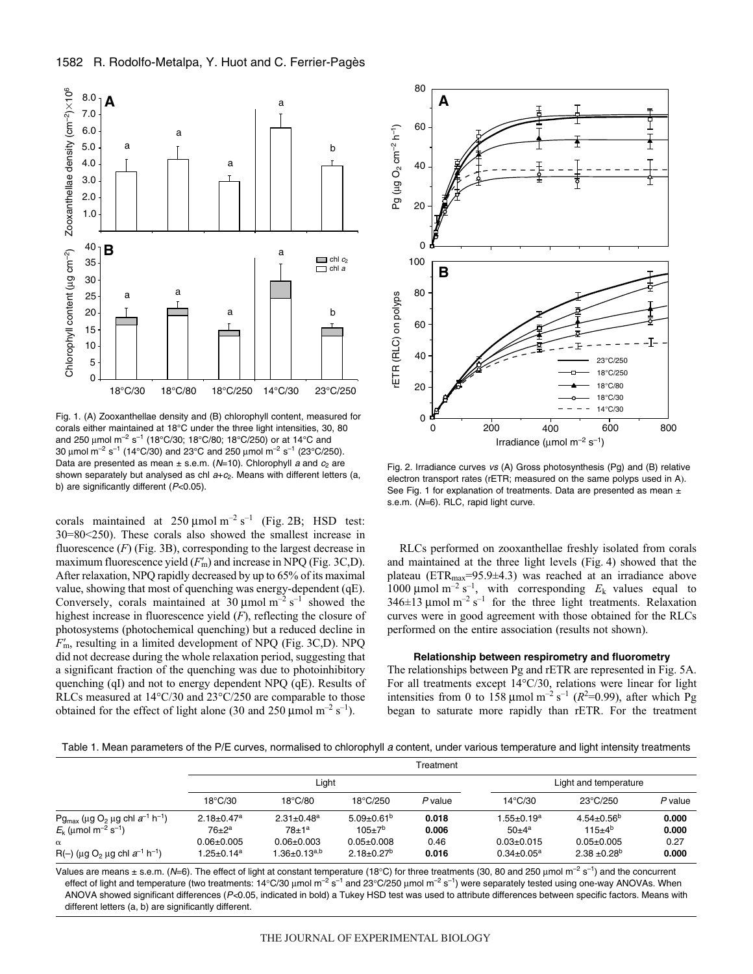# 1582 R. Rodolfo-Metalpa, Y. Huot and C. Ferrier-Pagès



Fig. 1. (A) Zooxanthellae density and (B) chlorophyll content, measured for corals either maintained at 18°C under the three light intensities, 30, 80 and 250 μmol m<sup>-2</sup> s<sup>-1</sup> (18°C/30; 18°C/80; 18°C/250) or at 14°C and 30  $\mu$ mol m<sup>-2</sup> s<sup>-1</sup> (14°C/30) and 23°C and 250  $\mu$ mol m<sup>-2</sup> s<sup>-1</sup> (23°C/250). Data are presented as mean  $\pm$  s.e.m. (N=10). Chlorophyll a and  $c_2$  are shown separately but analysed as chl  $a+c_2$ . Means with different letters (a, b) are significantly different  $(P<0.05)$ .

corals maintained at  $250 \mu \text{mol m}^{-2} \text{ s}^{-1}$  (Fig. 2B; HSD test: 30=80<250). These corals also showed the smallest increase in fluorescence  $(F)$  (Fig. 3B), corresponding to the largest decrease in maximum fluorescence yield  $(F'_m)$  and increase in NPQ (Fig. 3C,D). After relaxation, NPQ rapidly decreased by up to 65% of its maximal value, showing that most of quenching was energy-dependent (qE). Conversely, corals maintained at 30  $\mu$ mol m<sup>-2</sup> s<sup>-1</sup> showed the highest increase in fluorescence yield (*F*), reflecting the closure of photosystems (photochemical quenching) but a reduced decline in  $F<sub>m</sub>$ , resulting in a limited development of NPQ (Fig. 3C,D). NPQ did not decrease during the whole relaxation period, suggesting that a significant fraction of the quenching was due to photoinhibitory quenching (qI) and not to energy dependent NPQ (qE). Results of RLCs measured at 14°C/30 and 23°C/250 are comparable to those obtained for the effect of light alone (30 and 250  $\mu$ mol m<sup>-2</sup> s<sup>-1</sup>).



Fig. 2. Irradiance curves vs (A) Gross photosynthesis (Pg) and (B) relative electron transport rates (rETR; measured on the same polyps used in A). See Fig. 1 for explanation of treatments. Data are presented as mean  $\pm$ s.e.m. (N=6). RLC, rapid light curve.

RLCs performed on zooxanthellae freshly isolated from corals and maintained at the three light levels (Fig. 4) showed that the plateau (ETR<sub>max</sub>=95.9±4.3) was reached at an irradiance above 1000  $\mu$ mol m<sup>-2</sup> s<sup>-1</sup>, with corresponding  $E_k$  values equal to 346 $\pm$ 13 µmol m<sup>-2</sup> s<sup>-1</sup> for the three light treatments. Relaxation curves were in good agreement with those obtained for the RLCs performed on the entire association (results not shown).

## **Relationship between respirometry and fluorometry**

The relationships between Pg and rETR are represented in Fig. 5A. For all treatments except 14°C/30, relations were linear for light intensities from 0 to  $158 \mu$ mol m<sup>-2</sup> s<sup>-1</sup> ( $R^2$ =0.99), after which Pg began to saturate more rapidly than rETR. For the treatment

Table 1. Mean parameters of the P/E curves, normalised to chlorophyll a content, under various temperature and light intensity treatments

|                                                                                                                                                                                                             | Treatment                                                                                      |                                                                                                  |                                                                                    |                                 |                                                                      |                                                                                  |                                 |
|-------------------------------------------------------------------------------------------------------------------------------------------------------------------------------------------------------------|------------------------------------------------------------------------------------------------|--------------------------------------------------------------------------------------------------|------------------------------------------------------------------------------------|---------------------------------|----------------------------------------------------------------------|----------------------------------------------------------------------------------|---------------------------------|
|                                                                                                                                                                                                             | Light                                                                                          |                                                                                                  |                                                                                    |                                 | Light and temperature                                                |                                                                                  |                                 |
|                                                                                                                                                                                                             | $18^{\circ}$ C/30                                                                              | $18^{\circ}$ C/80                                                                                | $18^{\circ}$ C/250                                                                 | P value                         | $14^{\circ}$ C/30                                                    | 23°C/250                                                                         | P value                         |
| Pg <sub>max</sub> (μg O <sub>2</sub> μg chl $a^{-1}$ h <sup>-1</sup> )<br>$E_k$ (µmol m <sup>-2</sup> s <sup>-1</sup> )<br>$\alpha$<br>R(-) ( $\mu$ g O <sub>2</sub> $\mu$ g chl $a^{-1}$ h <sup>-1</sup> ) | $2.18 \pm 0.47$ <sup>a</sup><br>$76 + 2^a$<br>$0.06 \pm 0.005$<br>$1.25 \pm 0.14$ <sup>a</sup> | $2.31 \pm 0.48$ <sup>a</sup><br>78±1 <sup>a</sup><br>$0.06 + 0.003$<br>$1.36{\pm}0.13^{\rm a,b}$ | $5.09 \pm 0.61^b$<br>$105+7^{b}$<br>$0.05 + 0.008$<br>$2.18 \pm 0.27$ <sup>b</sup> | 0.018<br>0.006<br>0.46<br>0.016 | $1.55 \pm 0.19^a$<br>$50+4^a$<br>$0.03 + 0.015$<br>$0.34 \pm 0.05^a$ | $4.54 \pm 0.56^b$<br>$115+4^{b}$<br>$0.05 + 0.005$<br>$2.38 + 0.28$ <sup>b</sup> | 0.000<br>0.000<br>0.27<br>0.000 |

Values are means  $\pm$  s.e.m. (N=6). The effect of light at constant temperature (18°C) for three treatments (30, 80 and 250 µmol m<sup>-2</sup> s<sup>-1</sup>) and the concurrent effect of light and temperature (two treatments: 14°C/30 μmol m<sup>-2</sup> s<sup>-1</sup> and 23°C/250 μmol m<sup>-2</sup> s<sup>-1</sup>) were separately tested using one-way ANOVAs. When ANOVA showed significant differences (P<0.05, indicated in bold) a Tukey HSD test was used to attribute differences between specific factors. Means with different letters (a, b) are significantly different.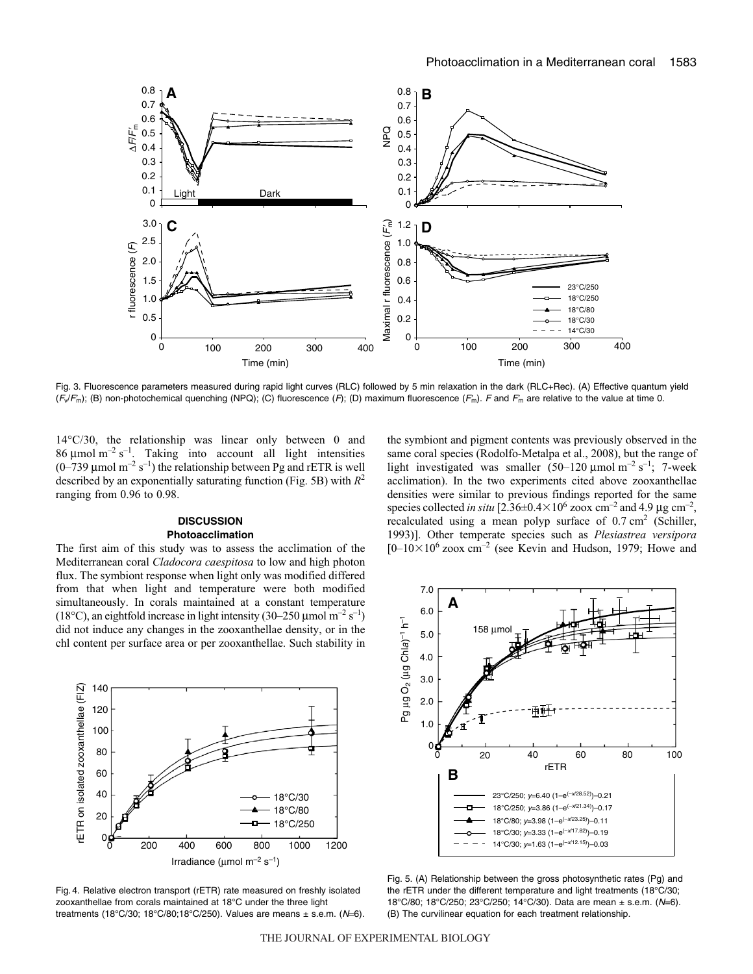

Fig. 3. Fluorescence parameters measured during rapid light curves (RLC) followed by 5 min relaxation in the dark (RLC+Rec). (A) Effective quantum yield  $(\mathit{F}_{\!\!V}\!\mathit{F}_{\!m})$ ; (B) non-photochemical quenching (NPQ); (C) fluorescence ( $F$ ); (D) maximum fluorescence ( $F_m$ ). F and  $F_m$  are relative to the value at time 0.

14°C/30, the relationship was linear only between 0 and 86  $\mu$ mol m<sup>-2</sup> s<sup>-1</sup>. Taking into account all light intensities  $(0-739 \mu \text{mol m}^{-2} \text{ s}^{-1})$  the relationship between Pg and rETR is well described by an exponentially saturating function (Fig. 5B) with  $R^2$ ranging from 0.96 to 0.98.

# **DISCUSSION Photoacclimation**

The first aim of this study was to assess the acclimation of the Mediterranean coral *Cladocora caespitosa* to low and high photon flux. The symbiont response when light only was modified differed from that when light and temperature were both modified simultaneously. In corals maintained at a constant temperature (18°C), an eightfold increase in light intensity (30–250 µmol m<sup>-2</sup> s<sup>-1</sup>) did not induce any changes in the zooxanthellae density, or in the chl content per surface area or per zooxanthellae. Such stability in

the symbiont and pigment contents was previously observed in the same coral species (Rodolfo-Metalpa et al., 2008), but the range of light investigated was smaller  $(50-120 \mu mol m^{-2} s^{-1})$ ; 7-week acclimation). In the two experiments cited above zooxanthellae densities were similar to previous findings reported for the same species collected *in situ* [2.36 $\pm$ 0.4 $\times$ 10<sup>6</sup> zoox cm<sup>-2</sup> and 4.9 µg cm<sup>-2</sup>, recalculated using a mean polyp surface of  $0.7 \text{ cm}^2$  (Schiller, 1993)]. Other temperate species such as *Plesiastrea versipora*  $[0-10\times10^6 \text{ zoox cm}^{-2}$  (see Kevin and Hudson, 1979; Howe and







Fig. 5. (A) Relationship between the gross photosynthetic rates (Pg) and the rETR under the different temperature and light treatments (18°C/30; 18°C/80; 18°C/250; 23°C/250; 14°C/30). Data are mean ± s.e.m. (N=6). (B) The curvilinear equation for each treatment relationship.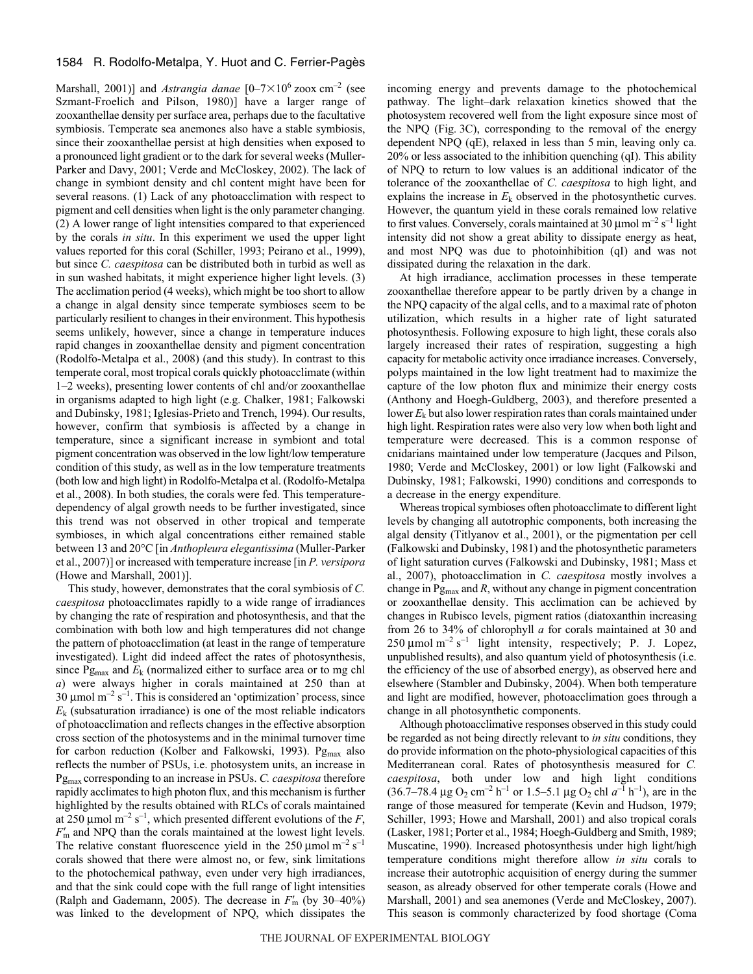## 1584 R. Rodolfo-Metalpa, Y. Huot and C. Ferrier-Pagès

Marshall, 2001)] and *Astrangia danae* [0–7×10<sup>6</sup> zoox cm<sup>-2</sup> (see Szmant-Froelich and Pilson, 1980)] have a larger range of zooxanthellae density per surface area, perhaps due to the facultative symbiosis. Temperate sea anemones also have a stable symbiosis, since their zooxanthellae persist at high densities when exposed to a pronounced light gradient or to the dark for several weeks (Muller-Parker and Davy, 2001; Verde and McCloskey, 2002). The lack of change in symbiont density and chl content might have been for several reasons. (1) Lack of any photoacclimation with respect to pigment and cell densities when light is the only parameter changing. (2) A lower range of light intensities compared to that experienced by the corals *in situ*. In this experiment we used the upper light values reported for this coral (Schiller, 1993; Peirano et al., 1999), but since *C. caespitosa* can be distributed both in turbid as well as in sun washed habitats, it might experience higher light levels. (3) The acclimation period (4 weeks), which might be too short to allow a change in algal density since temperate symbioses seem to be particularly resilient to changes in their environment. This hypothesis seems unlikely, however, since a change in temperature induces rapid changes in zooxanthellae density and pigment concentration (Rodolfo-Metalpa et al., 2008) (and this study). In contrast to this temperate coral, most tropical corals quickly photoacclimate (within 1–2 weeks), presenting lower contents of chl and/or zooxanthellae in organisms adapted to high light (e.g. Chalker, 1981; Falkowski and Dubinsky, 1981; Iglesias-Prieto and Trench, 1994). Our results, however, confirm that symbiosis is affected by a change in temperature, since a significant increase in symbiont and total pigment concentration was observed in the low light/low temperature condition of this study, as well as in the low temperature treatments (both low and high light) in Rodolfo-Metalpa et al. (Rodolfo-Metalpa et al., 2008). In both studies, the corals were fed. This temperaturedependency of algal growth needs to be further investigated, since this trend was not observed in other tropical and temperate symbioses, in which algal concentrations either remained stable between 13 and 20°C [in *Anthopleura elegantissima* (Muller-Parker et al., 2007)] or increased with temperature increase [in *P. versipora* (Howe and Marshall, 2001)].

This study, however, demonstrates that the coral symbiosis of *C. caespitosa* photoacclimates rapidly to a wide range of irradiances by changing the rate of respiration and photosynthesis, and that the combination with both low and high temperatures did not change the pattern of photoacclimation (at least in the range of temperature investigated). Light did indeed affect the rates of photosynthesis, since  $Pg_{\text{max}}$  and  $E_k$  (normalized either to surface area or to mg chl *a*) were always higher in corals maintained at 250 than at 30  $\mu$ mol m<sup>-2</sup> s<sup>-1</sup>. This is considered an 'optimization' process, since  $E<sub>k</sub>$  (subsaturation irradiance) is one of the most reliable indicators of photoacclimation and reflects changes in the effective absorption cross section of the photosystems and in the minimal turnover time for carbon reduction (Kolber and Falkowski, 1993).  $Pg_{max}$  also reflects the number of PSUs, i.e. photosystem units, an increase in Pgmax corresponding to an increase in PSUs. *C. caespitosa* therefore rapidly acclimates to high photon flux, and this mechanism is further highlighted by the results obtained with RLCs of corals maintained at 250  $\mu$ mol m<sup>-2</sup> s<sup>-1</sup>, which presented different evolutions of the *F*, *F* <sup>m</sup> and NPQ than the corals maintained at the lowest light levels. The relative constant fluorescence yield in the 250  $\mu$ mol m<sup>-2</sup> s<sup>-1</sup> corals showed that there were almost no, or few, sink limitations to the photochemical pathway, even under very high irradiances, and that the sink could cope with the full range of light intensities (Ralph and Gademann, 2005). The decrease in *F* <sup>m</sup> (by 30–40%) was linked to the development of NPQ, which dissipates the incoming energy and prevents damage to the photochemical pathway. The light–dark relaxation kinetics showed that the photosystem recovered well from the light exposure since most of the NPQ (Fig. 3C), corresponding to the removal of the energy dependent NPQ  $(qE)$ , relaxed in less than 5 min, leaving only ca. 20% or less associated to the inhibition quenching (qI). This ability of NPQ to return to low values is an additional indicator of the tolerance of the zooxanthellae of *C. caespitosa* to high light, and explains the increase in *E*<sup>k</sup> observed in the photosynthetic curves. However, the quantum yield in these corals remained low relative to first values. Conversely, corals maintained at 30  $\mu$ mol m<sup>-2</sup> s<sup>-1</sup> light intensity did not show a great ability to dissipate energy as heat, and most NPQ was due to photoinhibition (qI) and was not dissipated during the relaxation in the dark.

At high irradiance, acclimation processes in these temperate zooxanthellae therefore appear to be partly driven by a change in the NPQ capacity of the algal cells, and to a maximal rate of photon utilization, which results in a higher rate of light saturated photosynthesis. Following exposure to high light, these corals also largely increased their rates of respiration, suggesting a high capacity for metabolic activity once irradiance increases. Conversely, polyps maintained in the low light treatment had to maximize the capture of the low photon flux and minimize their energy costs (Anthony and Hoegh-Guldberg, 2003), and therefore presented a lower  $E_k$  but also lower respiration rates than corals maintained under high light. Respiration rates were also very low when both light and temperature were decreased. This is a common response of cnidarians maintained under low temperature (Jacques and Pilson, 1980; Verde and McCloskey, 2001) or low light (Falkowski and Dubinsky, 1981; Falkowski, 1990) conditions and corresponds to a decrease in the energy expenditure.

Whereas tropical symbioses often photoacclimate to different light levels by changing all autotrophic components, both increasing the algal density (Titlyanov et al., 2001), or the pigmentation per cell (Falkowski and Dubinsky, 1981) and the photosynthetic parameters of light saturation curves (Falkowski and Dubinsky, 1981; Mass et al., 2007), photoacclimation in *C. caespitosa* mostly involves a change in  $Pg_{\text{max}}$  and  $R$ , without any change in pigment concentration or zooxanthellae density. This acclimation can be achieved by changes in Rubisco levels, pigment ratios (diatoxanthin increasing from 26 to 34% of chlorophyll *a* for corals maintained at 30 and 250  $\mu$ mol m<sup>-2</sup> s<sup>-1</sup> light intensity, respectively; P. J. Lopez, unpublished results), and also quantum yield of photosynthesis (i.e. the efficiency of the use of absorbed energy), as observed here and elsewhere (Stambler and Dubinsky, 2004). When both temperature and light are modified, however, photoacclimation goes through a change in all photosynthetic components.

Although photoacclimative responses observed in this study could be regarded as not being directly relevant to *in situ* conditions, they do provide information on the photo-physiological capacities of this Mediterranean coral. Rates of photosynthesis measured for *C. caespitosa*, both under low and high light conditions  $(36.7-78.4 \,\mu g O_2 \text{ cm}^{-2} \text{ h}^{-1} \text{ or } 1.5-5.1 \,\mu g O_2 \text{ chl } a^{-1} \text{ h}^{-1}),$  are in the range of those measured for temperate (Kevin and Hudson, 1979; Schiller, 1993; Howe and Marshall, 2001) and also tropical corals (Lasker, 1981; Porter et al., 1984; Hoegh-Guldberg and Smith, 1989; Muscatine, 1990). Increased photosynthesis under high light/high temperature conditions might therefore allow *in situ* corals to increase their autotrophic acquisition of energy during the summer season, as already observed for other temperate corals (Howe and Marshall, 2001) and sea anemones (Verde and McCloskey, 2007). This season is commonly characterized by food shortage (Coma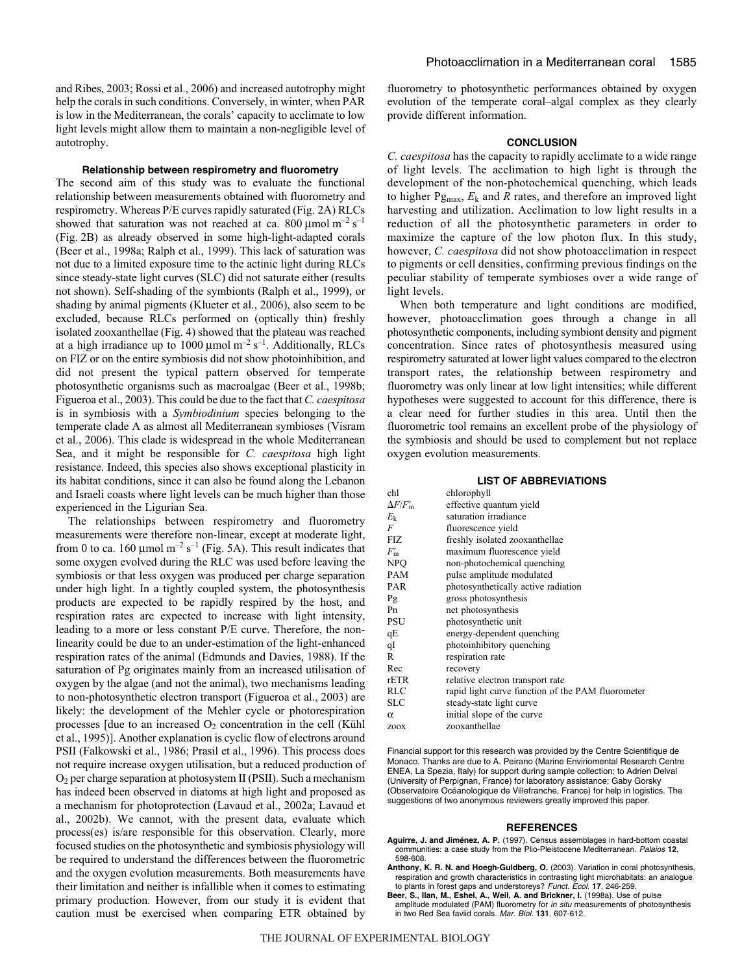and Ribes, 2003; Rossi et al., 2006) and increased autotrophy might help the corals in such conditions. Conversely, in winter, when PAR is low in the Mediterranean, the corals' capacity to acclimate to low light levels might allow them to maintain a non-negligible level of autotrophy.

### **Relationship between respirometry and fluorometry**

The second aim of this study was to evaluate the functional relationship between measurements obtained with fluorometry and respirometry. Whereas P/E curves rapidly saturated (Fig. 2A) RLCs showed that saturation was not reached at ca. 800  $\mu$ mol m<sup>-2</sup> s<sup>-1</sup> (Fig. 2B) as already observed in some high-light-adapted corals (Beer et al., 1998a; Ralph et al., 1999). This lack of saturation was not due to a limited exposure time to the actinic light during RLCs since steady-state light curves (SLC) did not saturate either (results not shown). Self-shading of the symbionts (Ralph et al., 1999), or shading by animal pigments (Klueter et al., 2006), also seem to be excluded, because RLCs performed on (optically thin) freshly isolated zooxanthellae (Fig. 4) showed that the plateau was reached at a high irradiance up to 1000  $\mu$ mol m<sup>-2</sup> s<sup>-1</sup>. Additionally, RLCs on FIZ or on the entire symbiosis did not show photoinhibition, and did not present the typical pattern observed for temperate photosynthetic organisms such as macroalgae (Beer et al., 1998b; Figueroa et al., 2003). This could be due to the fact that *C. caespitosa* is in symbiosis with a *Symbiodinium* species belonging to the temperate clade A as almost all Mediterranean symbioses (Visram et al., 2006). This clade is widespread in the whole Mediterranean Sea, and it might be responsible for *C. caespitosa* high light resistance. Indeed, this species also shows exceptional plasticity in its habitat conditions, since it can also be found along the Lebanon and Israeli coasts where light levels can be much higher than those experienced in the Ligurian Sea.

The relationships between respirometry and fluorometry measurements were therefore non-linear, except at moderate light, from 0 to ca. 160  $\mu$ mol m<sup>-2</sup> s<sup>-1</sup> (Fig. 5A). This result indicates that some oxygen evolved during the RLC was used before leaving the symbiosis or that less oxygen was produced per charge separation under high light. In a tightly coupled system, the photosynthesis products are expected to be rapidly respired by the host, and respiration rates are expected to increase with light intensity, leading to a more or less constant P/E curve. Therefore, the nonlinearity could be due to an under-estimation of the light-enhanced respiration rates of the animal (Edmunds and Davies, 1988). If the saturation of Pg originates mainly from an increased utilisation of oxygen by the algae (and not the animal), two mechanisms leading to non-photosynthetic electron transport (Figueroa et al., 2003) are likely: the development of the Mehler cycle or photorespiration processes [due to an increased  $O_2$  concentration in the cell (Kühl et al., 1995)]. Another explanation is cyclic flow of electrons around PSII (Falkowski et al., 1986; Prasil et al., 1996). This process does not require increase oxygen utilisation, but a reduced production of  $O<sub>2</sub>$  per charge separation at photosystem II (PSII). Such a mechanism has indeed been observed in diatoms at high light and proposed as a mechanism for photoprotection (Lavaud et al., 2002a; Lavaud et al., 2002b). We cannot, with the present data, evaluate which process(es) is/are responsible for this observation. Clearly, more focused studies on the photosynthetic and symbiosis physiology will be required to understand the differences between the fluorometric and the oxygen evolution measurements. Both measurements have their limitation and neither is infallible when it comes to estimating primary production. However, from our study it is evident that caution must be exercised when comparing ETR obtained by fluorometry to photosynthetic performances obtained by oxygen evolution of the temperate coral–algal complex as they clearly provide different information.

## **CONCLUSION**

*C. caespitosa* has the capacity to rapidly acclimate to a wide range of light levels. The acclimation to high light is through the development of the non-photochemical quenching, which leads to higher  $Pg_{max}$ ,  $E_k$  and  $R$  rates, and therefore an improved light harvesting and utilization. Acclimation to low light results in a reduction of all the photosynthetic parameters in order to maximize the capture of the low photon flux. In this study, however, *C. caespitosa* did not show photoacclimation in respect to pigments or cell densities, confirming previous findings on the peculiar stability of temperate symbioses over a wide range of light levels.

When both temperature and light conditions are modified, however, photoacclimation goes through a change in all photosynthetic components, including symbiont density and pigment concentration. Since rates of photosynthesis measured using respirometry saturated at lower light values compared to the electron transport rates, the relationship between respirometry and fluorometry was only linear at low light intensities; while different hypotheses were suggested to account for this difference, there is a clear need for further studies in this area. Until then the fluorometric tool remains an excellent probe of the physiology of the symbiosis and should be used to complement but not replace oxygen evolution measurements.

### **LIST OF ABBREVIATIONS**

| chl                   | chlorophyll                                       |
|-----------------------|---------------------------------------------------|
| $\Delta F/F_{\rm m}'$ | effective quantum yield                           |
| $E_{k}$               | saturation irradiance                             |
| F                     | fluorescence yield                                |
| FIZ.                  | freshly isolated zooxanthellae                    |
| $F'_{\rm m}$          | maximum fluorescence yield                        |
| NPO                   | non-photochemical quenching                       |
| PAM                   | pulse amplitude modulated                         |
| <b>PAR</b>            | photosynthetically active radiation               |
| Pg                    | gross photosynthesis                              |
| Pn                    | net photosynthesis                                |
| PSU                   | photosynthetic unit                               |
| qE                    | energy-dependent quenching                        |
| qI                    | photoinhibitory quenching                         |
| R                     | respiration rate                                  |
| Rec                   | recovery                                          |
| rETR                  | relative electron transport rate                  |
| RLC                   | rapid light curve function of the PAM fluorometer |
| <b>SLC</b>            | steady-state light curve                          |
| $\alpha$              | initial slope of the curve                        |
| ZOOX                  | zooxanthellae                                     |

Financial support for this research was provided by the Centre Scientifique de Monaco. Thanks are due to A. Peirano (Marine Enviriomental Research Centre ENEA, La Spezia, Italy) for support during sample collection; to Adrien Delval (University of Perpignan, France) for laboratory assistance; Gaby Gorsky (Observatoire Océanologique de Villefranche, France) for help in logistics. The suggestions of two anonymous reviewers greatly improved this paper.

#### **REFERENCES**

- **Aguirre, J. and Jiménez, A. P.** (1997). Census assemblages in hard-bottom coastal communities: a case study from the Plio-Pleistocene Mediterranean. Palaios **12**, 598-608.
- **Anthony, K. R. N. and Hoegh-Guldberg, O.** (2003). Variation in coral photosynthesis, respiration and growth characteristics in contrasting light microhabitats: an analogue to plants in forest gaps and understoreys? Funct. Ecol. **17**, 246-259.
- **Beer, S., Ilan, M., Eshel, A., Weil, A. and Brickner, I.** (1998a). Use of pulse amplitude modulated (PAM) fluorometry for in situ measurements of photosynthesis in two Red Sea faviid corals. Mar. Biol. **131**, 607-612.